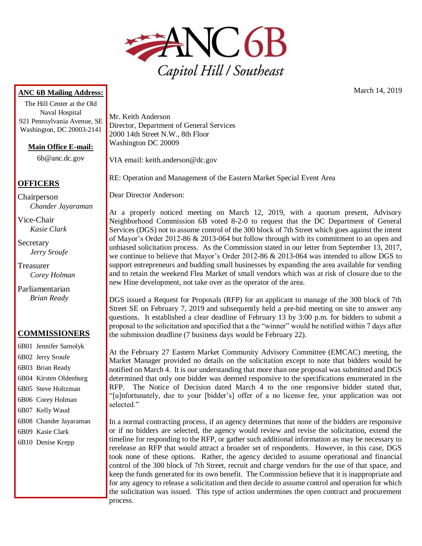

## **ANC 6B Mailing Address:**

The Hill Center at the Old Naval Hospital 921 Pennsylvania Avenue, SE Washington, DC 20003-2141

**Main Office E-mail:**

6b@anc.dc.gov

## **OFFICERS**

Chairperson *Chander Jayaraman*

Vice-Chair *Kasie Clark*

Secretary *Jerry Sroufe*

Treasurer *Corey Holman*

Parliamentarian *Brian Ready*

## **COMMISSIONERS**

- 6B01 Jennifer Samolyk 6B02 Jerry Sroufe 6B03 Brian Ready 6B04 Kirsten Oldenburg 6B05 Steve Holtzman 6B06 Corey Holman 6B07 Kelly Waud 6B08 Chander Jayaraman 6B09 Kasie Clark
- 6B10 Denise Krepp

Mr. Keith Anderson Director, Department of General Services 2000 14th Street N.W., 8th Floor Washington DC 20009

VIA email: keith.anderson@dc.gov

RE: Operation and Management of the Eastern Market Special Event Area

Dear Director Anderson:

At a properly noticed meeting on March 12, 2019, with a quorum present, Advisory Neighborhood Commission 6B voted 8-2-0 to request that the DC Department of General Services (DGS) not to assume control of the 300 block of 7th Street which goes against the intent of Mayor's Order 2012-86 & 2013-064 but follow through with its commitment to an open and unbiased solicitation process. As the Commission stated in our letter from September 13, 2017, we continue to believe that Mayor's Order 2012-86 & 2013-064 was intended to allow DGS to support entrepreneurs and budding small businesses by expanding the area available for vending and to retain the weekend Flea Market of small vendors which was at risk of closure due to the new Hine development, not take over as the operator of the area.

DGS issued a Request for Proposals (RFP) for an applicant to manage of the 300 block of 7th Street SE on February 7, 2019 and subsequently held a pre-bid meeting on site to answer any questions. It established a clear deadline of February 13 by 3:00 p.m. for bidders to submit a proposal to the solicitation and specified that a the "winner" would be notified within 7 days after the submission deadline (7 business days would be February 22).

At the February 27 Eastern Market Community Advisory Committee (EMCAC) meeting, the Market Manager provided no details on the solicitation except to note that bidders would be notified on March 4. It is our understanding that more than one proposal was submitted and DGS determined that only one bidder was deemed responsive to the specifications enumerated in the RFP. The Notice of Decision dated March 4 to the one responsive bidder stated that, "[u]nfortunately, due to your [bidder's] offer of a no license fee, your application was not selected."

In a normal contracting process, if an agency determines that none of the bidders are responsive or if no bidders are selected, the agency would review and revise the solicitation, extend the timeline for responding to the RFP, or gather such additional information as may be necessary to rerelease an RFP that would attract a broader set of respondents. However, in this case, DGS took none of these options. Rather, the agency decided to assume operational and financial control of the 300 block of 7th Street, recruit and charge vendors for the use of that space, and keep the funds generated for its own benefit. The Commission believe that it is inappropriate and for any agency to release a solicitation and then decide to assume control and operation for which the solicitation was issued. This type of action undermines the open contract and procurement process.

March 14, 2019